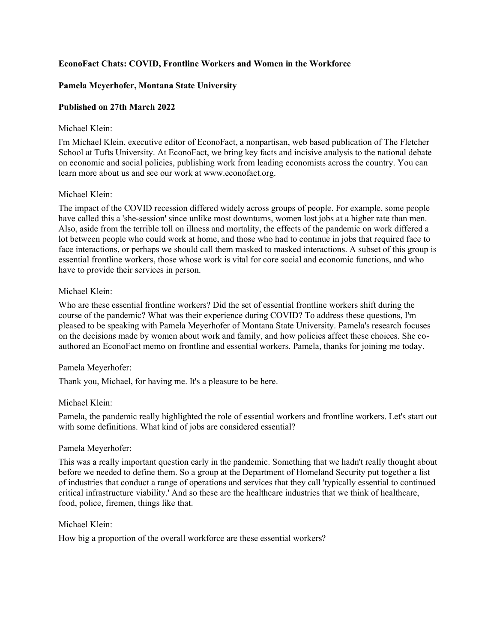## **EconoFact Chats: COVID, Frontline Workers and Women in the Workforce**

# **Pamela Meyerhofer, Montana State University**

# **Published on 27th March 2022**

### Michael Klein:

I'm Michael Klein, executive editor of EconoFact, a nonpartisan, web based publication of The Fletcher School at Tufts University. At EconoFact, we bring key facts and incisive analysis to the national debate on economic and social policies, publishing work from leading economists across the country. You can learn more about us and see our work at www.econofact.org.

## Michael Klein:

The impact of the COVID recession differed widely across groups of people. For example, some people have called this a 'she-session' since unlike most downturns, women lost jobs at a higher rate than men. Also, aside from the terrible toll on illness and mortality, the effects of the pandemic on work differed a lot between people who could work at home, and those who had to continue in jobs that required face to face interactions, or perhaps we should call them masked to masked interactions. A subset of this group is essential frontline workers, those whose work is vital for core social and economic functions, and who have to provide their services in person.

## Michael Klein:

Who are these essential frontline workers? Did the set of essential frontline workers shift during the course of the pandemic? What was their experience during COVID? To address these questions, I'm pleased to be speaking with Pamela Meyerhofer of Montana State University. Pamela's research focuses on the decisions made by women about work and family, and how policies affect these choices. She coauthored an EconoFact memo on frontline and essential workers. Pamela, thanks for joining me today.

## Pamela Meyerhofer:

Thank you, Michael, for having me. It's a pleasure to be here.

## Michael Klein:

Pamela, the pandemic really highlighted the role of essential workers and frontline workers. Let's start out with some definitions. What kind of jobs are considered essential?

## Pamela Meyerhofer:

This was a really important question early in the pandemic. Something that we hadn't really thought about before we needed to define them. So a group at the Department of Homeland Security put together a list of industries that conduct a range of operations and services that they call 'typically essential to continued critical infrastructure viability.' And so these are the healthcare industries that we think of healthcare, food, police, firemen, things like that.

## Michael Klein:

How big a proportion of the overall workforce are these essential workers?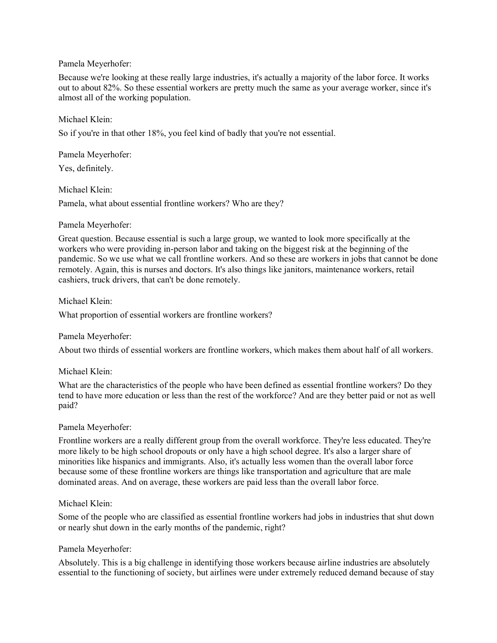## Pamela Meyerhofer:

Because we're looking at these really large industries, it's actually a majority of the labor force. It works out to about 82%. So these essential workers are pretty much the same as your average worker, since it's almost all of the working population.

### Michael Klein:

So if you're in that other 18%, you feel kind of badly that you're not essential.

Pamela Meyerhofer:

Yes, definitely.

### Michael Klein:

Pamela, what about essential frontline workers? Who are they?

### Pamela Meyerhofer:

Great question. Because essential is such a large group, we wanted to look more specifically at the workers who were providing in-person labor and taking on the biggest risk at the beginning of the pandemic. So we use what we call frontline workers. And so these are workers in jobs that cannot be done remotely. Again, this is nurses and doctors. It's also things like janitors, maintenance workers, retail cashiers, truck drivers, that can't be done remotely.

Michael Klein:

What proportion of essential workers are frontline workers?

## Pamela Meyerhofer:

About two thirds of essential workers are frontline workers, which makes them about half of all workers.

## Michael Klein:

What are the characteristics of the people who have been defined as essential frontline workers? Do they tend to have more education or less than the rest of the workforce? And are they better paid or not as well paid?

#### Pamela Meyerhofer:

Frontline workers are a really different group from the overall workforce. They're less educated. They're more likely to be high school dropouts or only have a high school degree. It's also a larger share of minorities like hispanics and immigrants. Also, it's actually less women than the overall labor force because some of these frontline workers are things like transportation and agriculture that are male dominated areas. And on average, these workers are paid less than the overall labor force.

#### Michael Klein:

Some of the people who are classified as essential frontline workers had jobs in industries that shut down or nearly shut down in the early months of the pandemic, right?

#### Pamela Meyerhofer:

Absolutely. This is a big challenge in identifying those workers because airline industries are absolutely essential to the functioning of society, but airlines were under extremely reduced demand because of stay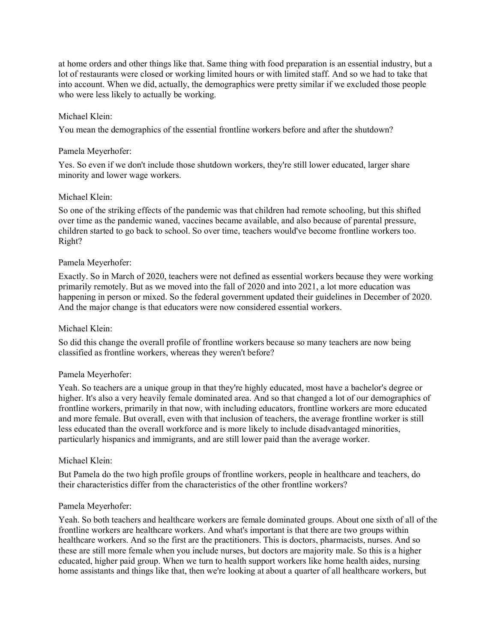at home orders and other things like that. Same thing with food preparation is an essential industry, but a lot of restaurants were closed or working limited hours or with limited staff. And so we had to take that into account. When we did, actually, the demographics were pretty similar if we excluded those people who were less likely to actually be working.

### Michael Klein:

You mean the demographics of the essential frontline workers before and after the shutdown?

#### Pamela Meyerhofer:

Yes. So even if we don't include those shutdown workers, they're still lower educated, larger share minority and lower wage workers.

### Michael Klein:

So one of the striking effects of the pandemic was that children had remote schooling, but this shifted over time as the pandemic waned, vaccines became available, and also because of parental pressure, children started to go back to school. So over time, teachers would've become frontline workers too. Right?

### Pamela Meyerhofer:

Exactly. So in March of 2020, teachers were not defined as essential workers because they were working primarily remotely. But as we moved into the fall of 2020 and into 2021, a lot more education was happening in person or mixed. So the federal government updated their guidelines in December of 2020. And the major change is that educators were now considered essential workers.

#### Michael Klein:

So did this change the overall profile of frontline workers because so many teachers are now being classified as frontline workers, whereas they weren't before?

#### Pamela Meyerhofer:

Yeah. So teachers are a unique group in that they're highly educated, most have a bachelor's degree or higher. It's also a very heavily female dominated area. And so that changed a lot of our demographics of frontline workers, primarily in that now, with including educators, frontline workers are more educated and more female. But overall, even with that inclusion of teachers, the average frontline worker is still less educated than the overall workforce and is more likely to include disadvantaged minorities, particularly hispanics and immigrants, and are still lower paid than the average worker.

#### Michael Klein:

But Pamela do the two high profile groups of frontline workers, people in healthcare and teachers, do their characteristics differ from the characteristics of the other frontline workers?

#### Pamela Meyerhofer:

Yeah. So both teachers and healthcare workers are female dominated groups. About one sixth of all of the frontline workers are healthcare workers. And what's important is that there are two groups within healthcare workers. And so the first are the practitioners. This is doctors, pharmacists, nurses. And so these are still more female when you include nurses, but doctors are majority male. So this is a higher educated, higher paid group. When we turn to health support workers like home health aides, nursing home assistants and things like that, then we're looking at about a quarter of all healthcare workers, but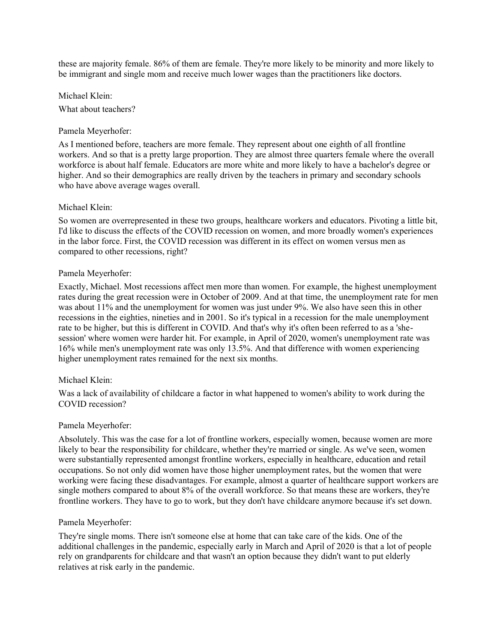these are majority female. 86% of them are female. They're more likely to be minority and more likely to be immigrant and single mom and receive much lower wages than the practitioners like doctors.

Michael Klein: What about teachers?

## Pamela Meyerhofer:

As I mentioned before, teachers are more female. They represent about one eighth of all frontline workers. And so that is a pretty large proportion. They are almost three quarters female where the overall workforce is about half female. Educators are more white and more likely to have a bachelor's degree or higher. And so their demographics are really driven by the teachers in primary and secondary schools who have above average wages overall.

#### Michael Klein:

So women are overrepresented in these two groups, healthcare workers and educators. Pivoting a little bit, I'd like to discuss the effects of the COVID recession on women, and more broadly women's experiences in the labor force. First, the COVID recession was different in its effect on women versus men as compared to other recessions, right?

### Pamela Meyerhofer:

Exactly, Michael. Most recessions affect men more than women. For example, the highest unemployment rates during the great recession were in October of 2009. And at that time, the unemployment rate for men was about 11% and the unemployment for women was just under 9%. We also have seen this in other recessions in the eighties, nineties and in 2001. So it's typical in a recession for the male unemployment rate to be higher, but this is different in COVID. And that's why it's often been referred to as a 'shesession' where women were harder hit. For example, in April of 2020, women's unemployment rate was 16% while men's unemployment rate was only 13.5%. And that difference with women experiencing higher unemployment rates remained for the next six months.

## Michael Klein:

Was a lack of availability of childcare a factor in what happened to women's ability to work during the COVID recession?

## Pamela Meyerhofer:

Absolutely. This was the case for a lot of frontline workers, especially women, because women are more likely to bear the responsibility for childcare, whether they're married or single. As we've seen, women were substantially represented amongst frontline workers, especially in healthcare, education and retail occupations. So not only did women have those higher unemployment rates, but the women that were working were facing these disadvantages. For example, almost a quarter of healthcare support workers are single mothers compared to about 8% of the overall workforce. So that means these are workers, they're frontline workers. They have to go to work, but they don't have childcare anymore because it's set down.

## Pamela Meyerhofer:

They're single moms. There isn't someone else at home that can take care of the kids. One of the additional challenges in the pandemic, especially early in March and April of 2020 is that a lot of people rely on grandparents for childcare and that wasn't an option because they didn't want to put elderly relatives at risk early in the pandemic.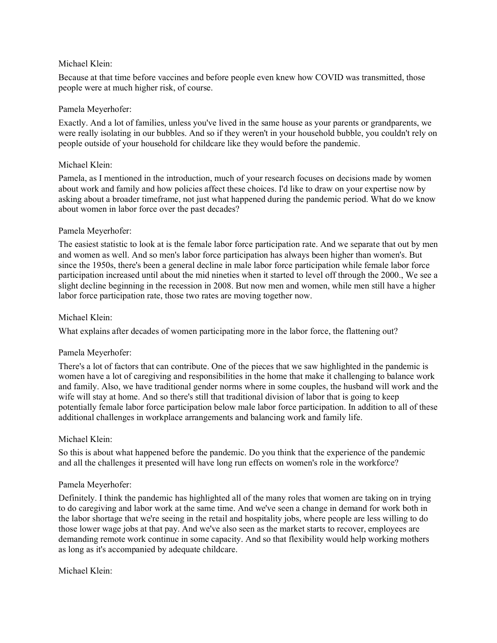## Michael Klein:

Because at that time before vaccines and before people even knew how COVID was transmitted, those people were at much higher risk, of course.

### Pamela Meyerhofer:

Exactly. And a lot of families, unless you've lived in the same house as your parents or grandparents, we were really isolating in our bubbles. And so if they weren't in your household bubble, you couldn't rely on people outside of your household for childcare like they would before the pandemic.

### Michael Klein:

Pamela, as I mentioned in the introduction, much of your research focuses on decisions made by women about work and family and how policies affect these choices. I'd like to draw on your expertise now by asking about a broader timeframe, not just what happened during the pandemic period. What do we know about women in labor force over the past decades?

### Pamela Meyerhofer:

The easiest statistic to look at is the female labor force participation rate. And we separate that out by men and women as well. And so men's labor force participation has always been higher than women's. But since the 1950s, there's been a general decline in male labor force participation while female labor force participation increased until about the mid nineties when it started to level off through the 2000., We see a slight decline beginning in the recession in 2008. But now men and women, while men still have a higher labor force participation rate, those two rates are moving together now.

### Michael Klein:

What explains after decades of women participating more in the labor force, the flattening out?

## Pamela Meyerhofer:

There's a lot of factors that can contribute. One of the pieces that we saw highlighted in the pandemic is women have a lot of caregiving and responsibilities in the home that make it challenging to balance work and family. Also, we have traditional gender norms where in some couples, the husband will work and the wife will stay at home. And so there's still that traditional division of labor that is going to keep potentially female labor force participation below male labor force participation. In addition to all of these additional challenges in workplace arrangements and balancing work and family life.

#### Michael Klein:

So this is about what happened before the pandemic. Do you think that the experience of the pandemic and all the challenges it presented will have long run effects on women's role in the workforce?

## Pamela Meyerhofer:

Definitely. I think the pandemic has highlighted all of the many roles that women are taking on in trying to do caregiving and labor work at the same time. And we've seen a change in demand for work both in the labor shortage that we're seeing in the retail and hospitality jobs, where people are less willing to do those lower wage jobs at that pay. And we've also seen as the market starts to recover, employees are demanding remote work continue in some capacity. And so that flexibility would help working mothers as long as it's accompanied by adequate childcare.

Michael Klein: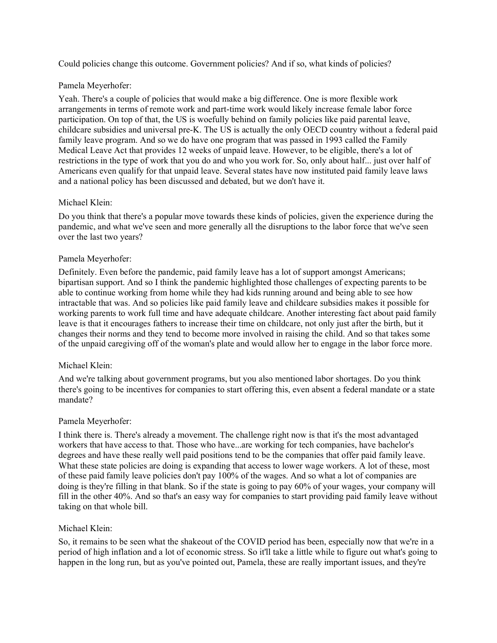Could policies change this outcome. Government policies? And if so, what kinds of policies?

## Pamela Meyerhofer:

Yeah. There's a couple of policies that would make a big difference. One is more flexible work arrangements in terms of remote work and part-time work would likely increase female labor force participation. On top of that, the US is woefully behind on family policies like paid parental leave, childcare subsidies and universal pre-K. The US is actually the only OECD country without a federal paid family leave program. And so we do have one program that was passed in 1993 called the Family Medical Leave Act that provides 12 weeks of unpaid leave. However, to be eligible, there's a lot of restrictions in the type of work that you do and who you work for. So, only about half... just over half of Americans even qualify for that unpaid leave. Several states have now instituted paid family leave laws and a national policy has been discussed and debated, but we don't have it.

## Michael Klein:

Do you think that there's a popular move towards these kinds of policies, given the experience during the pandemic, and what we've seen and more generally all the disruptions to the labor force that we've seen over the last two years?

### Pamela Meyerhofer:

Definitely. Even before the pandemic, paid family leave has a lot of support amongst Americans; bipartisan support. And so I think the pandemic highlighted those challenges of expecting parents to be able to continue working from home while they had kids running around and being able to see how intractable that was. And so policies like paid family leave and childcare subsidies makes it possible for working parents to work full time and have adequate childcare. Another interesting fact about paid family leave is that it encourages fathers to increase their time on childcare, not only just after the birth, but it changes their norms and they tend to become more involved in raising the child. And so that takes some of the unpaid caregiving off of the woman's plate and would allow her to engage in the labor force more.

#### Michael Klein:

And we're talking about government programs, but you also mentioned labor shortages. Do you think there's going to be incentives for companies to start offering this, even absent a federal mandate or a state mandate?

#### Pamela Meyerhofer:

I think there is. There's already a movement. The challenge right now is that it's the most advantaged workers that have access to that. Those who have...are working for tech companies, have bachelor's degrees and have these really well paid positions tend to be the companies that offer paid family leave. What these state policies are doing is expanding that access to lower wage workers. A lot of these, most of these paid family leave policies don't pay 100% of the wages. And so what a lot of companies are doing is they're filling in that blank. So if the state is going to pay 60% of your wages, your company will fill in the other 40%. And so that's an easy way for companies to start providing paid family leave without taking on that whole bill.

#### Michael Klein:

So, it remains to be seen what the shakeout of the COVID period has been, especially now that we're in a period of high inflation and a lot of economic stress. So it'll take a little while to figure out what's going to happen in the long run, but as you've pointed out, Pamela, these are really important issues, and they're